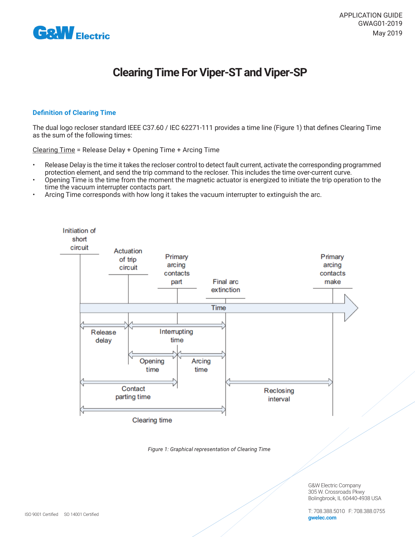

# **Clearing Time For Viper-ST and Viper-SP**

#### **Definition of Clearing Time**

The dual logo recloser standard IEEE C37.60 / IEC 62271-111 provides a time line (Figure 1) that defines Clearing Time as the sum of the following times:

Clearing Time = Release Delay + Opening Time + Arcing Time

- Release Delay is the time it takes the recloser control to detect fault current, activate the corresponding programmed protection element, and send the trip command to the recloser. This includes the time over-current curve.
- Opening Time is the time from the moment the magnetic actuator is energized to initiate the trip operation to the time the vacuum interrupter contacts part.
- Arcing Time corresponds with how long it takes the vacuum interrupter to extinguish the arc.



*Figure 1: Graphical representation of Clearing Time*

G&W Electric Company 305 W. Crossroads Pkwy Bolingbrook, IL 60440-4938 USA

T: 708.388.5010 F: 708.388.0755 **gwelec.com**